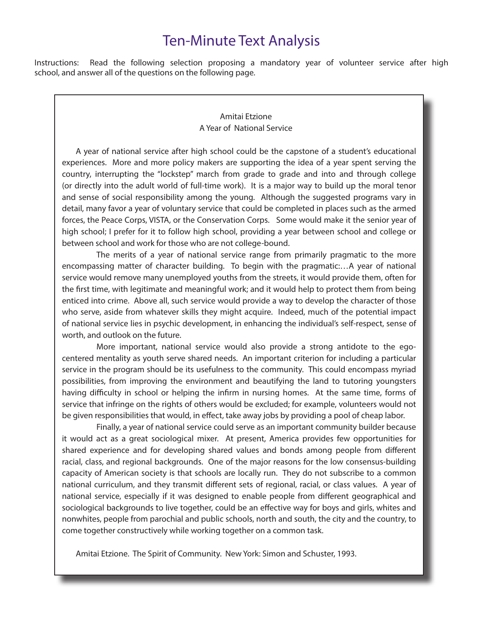## Ten-Minute Text Analysis

Instructions: Read the following selection proposing a mandatory year of volunteer service after high school, and answer all of the questions on the following page.

## Amitai Etzione A Year of National Service

A year of national service after high school could be the capstone of a student's educational experiences. More and more policy makers are supporting the idea of a year spent serving the country, interrupting the "lockstep" march from grade to grade and into and through college (or directly into the adult world of full-time work). It is a major way to build up the moral tenor and sense of social responsibility among the young. Although the suggested programs vary in detail, many favor a year of voluntary service that could be completed in places such as the armed forces, the Peace Corps, VISTA, or the Conservation Corps. Some would make it the senior year of high school; I prefer for it to follow high school, providing a year between school and college or between school and work for those who are not college-bound.

The merits of a year of national service range from primarily pragmatic to the more encompassing matter of character building. To begin with the pragmatic:…A year of national service would remove many unemployed youths from the streets, it would provide them, often for the first time, with legitimate and meaningful work; and it would help to protect them from being enticed into crime. Above all, such service would provide a way to develop the character of those who serve, aside from whatever skills they might acquire. Indeed, much of the potential impact of national service lies in psychic development, in enhancing the individual's self-respect, sense of worth, and outlook on the future.

More important, national service would also provide a strong antidote to the egocentered mentality as youth serve shared needs. An important criterion for including a particular service in the program should be its usefulness to the community. This could encompass myriad possibilities, from improving the environment and beautifying the land to tutoring youngsters having difficulty in school or helping the infirm in nursing homes. At the same time, forms of service that infringe on the rights of others would be excluded; for example, volunteers would not be given responsibilities that would, in effect, take away jobs by providing a pool of cheap labor.

Finally, a year of national service could serve as an important community builder because it would act as a great sociological mixer. At present, America provides few opportunities for shared experience and for developing shared values and bonds among people from different racial, class, and regional backgrounds. One of the major reasons for the low consensus-building capacity of American society is that schools are locally run. They do not subscribe to a common national curriculum, and they transmit different sets of regional, racial, or class values. A year of national service, especially if it was designed to enable people from different geographical and sociological backgrounds to live together, could be an effective way for boys and girls, whites and nonwhites, people from parochial and public schools, north and south, the city and the country, to come together constructively while working together on a common task.

Amitai Etzione. The Spirit of Community. New York: Simon and Schuster, 1993.